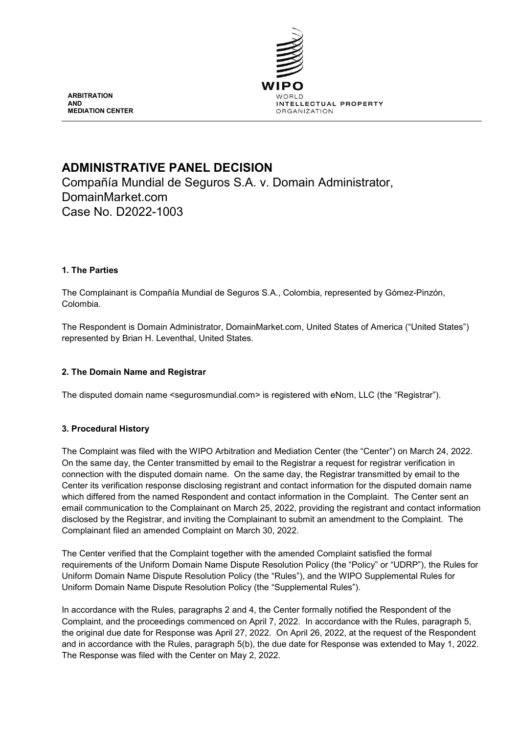

**ARBITRATION AND MEDIATION CENTER**

# **ADMINISTRATIVE PANEL DECISION**

Compañía Mundial de Seguros S.A. v. Domain Administrator, DomainMarket.com Case No. D2022-1003

# **1. The Parties**

The Complainant is Compañía Mundial de Seguros S.A., Colombia, represented by Gómez-Pinzón, Colombia.

The Respondent is Domain Administrator, DomainMarket.com, United States of America ("United States") represented by Brian H. Leventhal, United States.

# **2. The Domain Name and Registrar**

The disputed domain name <segurosmundial.com> is registered with eNom, LLC (the "Registrar").

# **3. Procedural History**

The Complaint was filed with the WIPO Arbitration and Mediation Center (the "Center") on March 24, 2022. On the same day, the Center transmitted by email to the Registrar a request for registrar verification in connection with the disputed domain name. On the same day, the Registrar transmitted by email to the Center its verification response disclosing registrant and contact information for the disputed domain name which differed from the named Respondent and contact information in the Complaint. The Center sent an email communication to the Complainant on March 25, 2022, providing the registrant and contact information disclosed by the Registrar, and inviting the Complainant to submit an amendment to the Complaint. The Complainant filed an amended Complaint on March 30, 2022.

The Center verified that the Complaint together with the amended Complaint satisfied the formal requirements of the Uniform Domain Name Dispute Resolution Policy (the "Policy" or "UDRP"), the Rules for Uniform Domain Name Dispute Resolution Policy (the "Rules"), and the WIPO Supplemental Rules for Uniform Domain Name Dispute Resolution Policy (the "Supplemental Rules").

In accordance with the Rules, paragraphs 2 and 4, the Center formally notified the Respondent of the Complaint, and the proceedings commenced on April 7, 2022. In accordance with the Rules, paragraph 5, the original due date for Response was April 27, 2022. On April 26, 2022, at the request of the Respondent and in accordance with the Rules, paragraph 5(b), the due date for Response was extended to May 1, 2022. The Response was filed with the Center on May 2, 2022.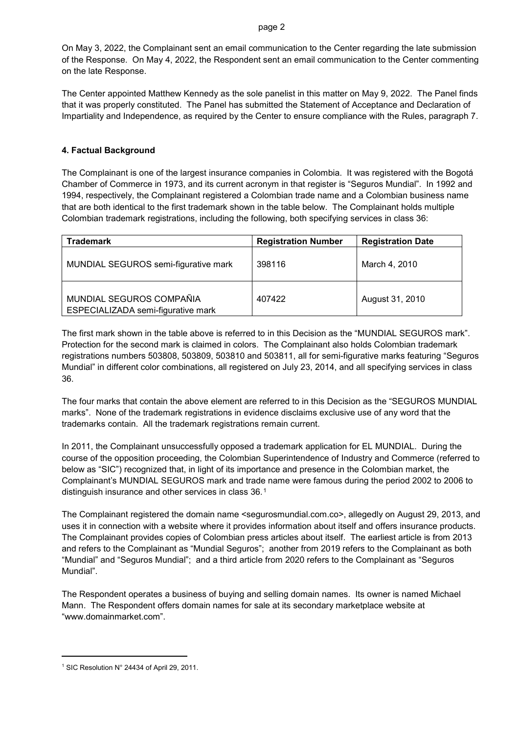On May 3, 2022, the Complainant sent an email communication to the Center regarding the late submission of the Response. On May 4, 2022, the Respondent sent an email communication to the Center commenting on the late Response.

The Center appointed Matthew Kennedy as the sole panelist in this matter on May 9, 2022. The Panel finds that it was properly constituted. The Panel has submitted the Statement of Acceptance and Declaration of Impartiality and Independence, as required by the Center to ensure compliance with the Rules, paragraph 7.

# **4. Factual Background**

The Complainant is one of the largest insurance companies in Colombia. It was registered with the Bogotá Chamber of Commerce in 1973, and its current acronym in that register is "Seguros Mundial". In 1992 and 1994, respectively, the Complainant registered a Colombian trade name and a Colombian business name that are both identical to the first trademark shown in the table below. The Complainant holds multiple Colombian trademark registrations, including the following, both specifying services in class 36:

| Trademark                                                      | <b>Registration Number</b> | <b>Registration Date</b> |
|----------------------------------------------------------------|----------------------------|--------------------------|
| MUNDIAL SEGUROS semi-figurative mark                           | 398116                     | March 4, 2010            |
| MUNDIAL SEGUROS COMPAÑIA<br>ESPECIALIZADA semi-figurative mark | 407422                     | August 31, 2010          |

The first mark shown in the table above is referred to in this Decision as the "MUNDIAL SEGUROS mark". Protection for the second mark is claimed in colors. The Complainant also holds Colombian trademark registrations numbers 503808, 503809, 503810 and 503811, all for semi-figurative marks featuring "Seguros Mundial" in different color combinations, all registered on July 23, 2014, and all specifying services in class 36.

The four marks that contain the above element are referred to in this Decision as the "SEGUROS MUNDIAL marks". None of the trademark registrations in evidence disclaims exclusive use of any word that the trademarks contain. All the trademark registrations remain current.

In 2011, the Complainant unsuccessfully opposed a trademark application for EL MUNDIAL. During the course of the opposition proceeding, the Colombian Superintendence of Industry and Commerce (referred to below as "SIC") recognized that, in light of its importance and presence in the Colombian market, the Complainant's MUNDIAL SEGUROS mark and trade name were famous during the period 2002 to 2006 to distinguish insurance and other services in class 36.[1](#page-1-0) 

The Complainant registered the domain name <segurosmundial.com.co>, allegedly on August 29, 2013, and uses it in connection with a website where it provides information about itself and offers insurance products. The Complainant provides copies of Colombian press articles about itself. The earliest article is from 2013 and refers to the Complainant as "Mundial Seguros"; another from 2019 refers to the Complainant as both "Mundial" and "Seguros Mundial"; and a third article from 2020 refers to the Complainant as "Seguros Mundial".

The Respondent operates a business of buying and selling domain names. Its owner is named Michael Mann. The Respondent offers domain names for sale at its secondary marketplace website at "www.domainmarket.com".

 $\overline{a}$ 

<span id="page-1-0"></span><sup>1</sup> SIC Resolution N° 24434 of April 29, 2011.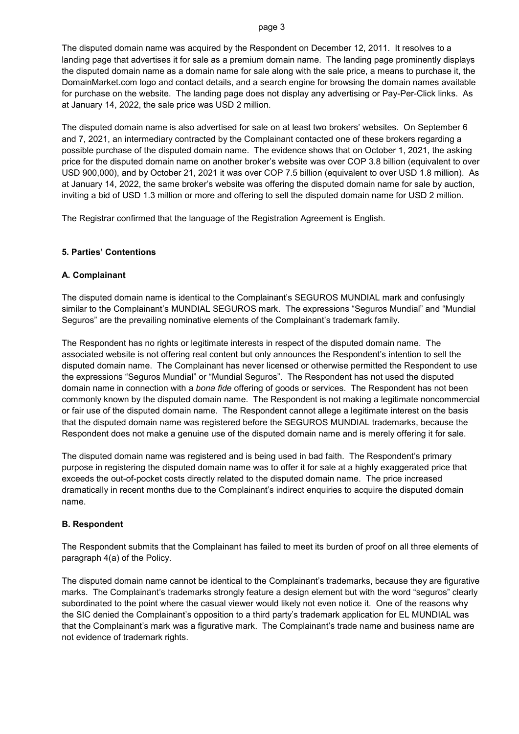The disputed domain name was acquired by the Respondent on December 12, 2011. It resolves to a landing page that advertises it for sale as a premium domain name. The landing page prominently displays the disputed domain name as a domain name for sale along with the sale price, a means to purchase it, the DomainMarket.com logo and contact details, and a search engine for browsing the domain names available for purchase on the website. The landing page does not display any advertising or Pay-Per-Click links. As at January 14, 2022, the sale price was USD 2 million.

The disputed domain name is also advertised for sale on at least two brokers' websites. On September 6 and 7, 2021, an intermediary contracted by the Complainant contacted one of these brokers regarding a possible purchase of the disputed domain name. The evidence shows that on October 1, 2021, the asking price for the disputed domain name on another broker's website was over COP 3.8 billion (equivalent to over USD 900,000), and by October 21, 2021 it was over COP 7.5 billion (equivalent to over USD 1.8 million). As at January 14, 2022, the same broker's website was offering the disputed domain name for sale by auction, inviting a bid of USD 1.3 million or more and offering to sell the disputed domain name for USD 2 million.

The Registrar confirmed that the language of the Registration Agreement is English.

### **5. Parties' Contentions**

### **A. Complainant**

The disputed domain name is identical to the Complainant's SEGUROS MUNDIAL mark and confusingly similar to the Complainant's MUNDIAL SEGUROS mark. The expressions "Seguros Mundial" and "Mundial Seguros" are the prevailing nominative elements of the Complainant's trademark family.

The Respondent has no rights or legitimate interests in respect of the disputed domain name. The associated website is not offering real content but only announces the Respondent's intention to sell the disputed domain name. The Complainant has never licensed or otherwise permitted the Respondent to use the expressions "Seguros Mundial" or "Mundial Seguros". The Respondent has not used the disputed domain name in connection with a *bona fide* offering of goods or services. The Respondent has not been commonly known by the disputed domain name. The Respondent is not making a legitimate noncommercial or fair use of the disputed domain name. The Respondent cannot allege a legitimate interest on the basis that the disputed domain name was registered before the SEGUROS MUNDIAL trademarks, because the Respondent does not make a genuine use of the disputed domain name and is merely offering it for sale.

The disputed domain name was registered and is being used in bad faith. The Respondent's primary purpose in registering the disputed domain name was to offer it for sale at a highly exaggerated price that exceeds the out-of-pocket costs directly related to the disputed domain name. The price increased dramatically in recent months due to the Complainant's indirect enquiries to acquire the disputed domain name.

#### **B. Respondent**

The Respondent submits that the Complainant has failed to meet its burden of proof on all three elements of paragraph 4(a) of the Policy.

The disputed domain name cannot be identical to the Complainant's trademarks, because they are figurative marks. The Complainant's trademarks strongly feature a design element but with the word "seguros" clearly subordinated to the point where the casual viewer would likely not even notice it. One of the reasons why the SIC denied the Complainant's opposition to a third party's trademark application for EL MUNDIAL was that the Complainant's mark was a figurative mark. The Complainant's trade name and business name are not evidence of trademark rights.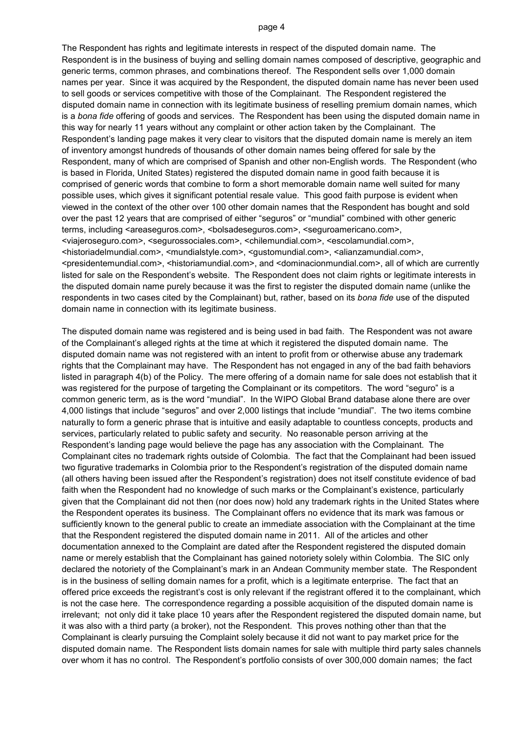The Respondent has rights and legitimate interests in respect of the disputed domain name. The Respondent is in the business of buying and selling domain names composed of descriptive, geographic and generic terms, common phrases, and combinations thereof. The Respondent sells over 1,000 domain names per year. Since it was acquired by the Respondent, the disputed domain name has never been used to sell goods or services competitive with those of the Complainant. The Respondent registered the disputed domain name in connection with its legitimate business of reselling premium domain names, which is a *bona fide* offering of goods and services. The Respondent has been using the disputed domain name in this way for nearly 11 years without any complaint or other action taken by the Complainant. The Respondent's landing page makes it very clear to visitors that the disputed domain name is merely an item of inventory amongst hundreds of thousands of other domain names being offered for sale by the Respondent, many of which are comprised of Spanish and other non-English words. The Respondent (who is based in Florida, United States) registered the disputed domain name in good faith because it is comprised of generic words that combine to form a short memorable domain name well suited for many possible uses, which gives it significant potential resale value. This good faith purpose is evident when viewed in the context of the other over 100 other domain names that the Respondent has bought and sold over the past 12 years that are comprised of either "seguros" or "mundial" combined with other generic terms, including <areaseguros.com>, <br/> <br/>bolsadeseguros.com>, <seguroamericano.com>, <viajeroseguro.com>, <segurossociales.com>, <chilemundial.com>, <escolamundial.com>, <historiadelmundial.com>, <mundialstyle.com>, <gustomundial.com>, <alianzamundial.com>, <presidentemundial.com>, <historiamundial.com>, and <dominacionmundial.com>, all of which are currently listed for sale on the Respondent's website. The Respondent does not claim rights or legitimate interests in the disputed domain name purely because it was the first to register the disputed domain name (unlike the respondents in two cases cited by the Complainant) but, rather, based on its *bona fide* use of the disputed domain name in connection with its legitimate business.

The disputed domain name was registered and is being used in bad faith. The Respondent was not aware of the Complainant's alleged rights at the time at which it registered the disputed domain name. The disputed domain name was not registered with an intent to profit from or otherwise abuse any trademark rights that the Complainant may have. The Respondent has not engaged in any of the bad faith behaviors listed in paragraph 4(b) of the Policy. The mere offering of a domain name for sale does not establish that it was registered for the purpose of targeting the Complainant or its competitors. The word "seguro" is a common generic term, as is the word "mundial". In the WIPO Global Brand database alone there are over 4,000 listings that include "seguros" and over 2,000 listings that include "mundial". The two items combine naturally to form a generic phrase that is intuitive and easily adaptable to countless concepts, products and services, particularly related to public safety and security. No reasonable person arriving at the Respondent's landing page would believe the page has any association with the Complainant. The Complainant cites no trademark rights outside of Colombia. The fact that the Complainant had been issued two figurative trademarks in Colombia prior to the Respondent's registration of the disputed domain name (all others having been issued after the Respondent's registration) does not itself constitute evidence of bad faith when the Respondent had no knowledge of such marks or the Complainant's existence, particularly given that the Complainant did not then (nor does now) hold any trademark rights in the United States where the Respondent operates its business. The Complainant offers no evidence that its mark was famous or sufficiently known to the general public to create an immediate association with the Complainant at the time that the Respondent registered the disputed domain name in 2011. All of the articles and other documentation annexed to the Complaint are dated after the Respondent registered the disputed domain name or merely establish that the Complainant has gained notoriety solely within Colombia. The SIC only declared the notoriety of the Complainant's mark in an Andean Community member state. The Respondent is in the business of selling domain names for a profit, which is a legitimate enterprise. The fact that an offered price exceeds the registrant's cost is only relevant if the registrant offered it to the complainant, which is not the case here. The correspondence regarding a possible acquisition of the disputed domain name is irrelevant; not only did it take place 10 years after the Respondent registered the disputed domain name, but it was also with a third party (a broker), not the Respondent. This proves nothing other than that the Complainant is clearly pursuing the Complaint solely because it did not want to pay market price for the disputed domain name. The Respondent lists domain names for sale with multiple third party sales channels over whom it has no control. The Respondent's portfolio consists of over 300,000 domain names; the fact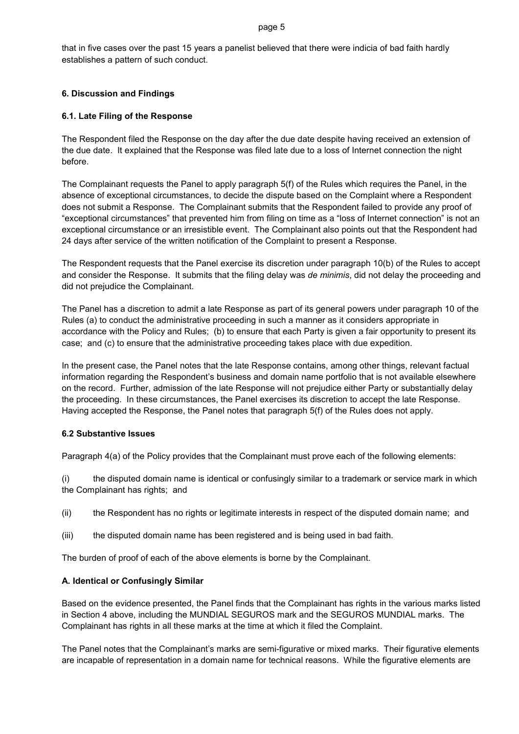that in five cases over the past 15 years a panelist believed that there were indicia of bad faith hardly establishes a pattern of such conduct.

# **6. Discussion and Findings**

# **6.1. Late Filing of the Response**

The Respondent filed the Response on the day after the due date despite having received an extension of the due date. It explained that the Response was filed late due to a loss of Internet connection the night before.

The Complainant requests the Panel to apply paragraph 5(f) of the Rules which requires the Panel, in the absence of exceptional circumstances, to decide the dispute based on the Complaint where a Respondent does not submit a Response. The Complainant submits that the Respondent failed to provide any proof of "exceptional circumstances" that prevented him from filing on time as a "loss of Internet connection" is not an exceptional circumstance or an irresistible event. The Complainant also points out that the Respondent had 24 days after service of the written notification of the Complaint to present a Response.

The Respondent requests that the Panel exercise its discretion under paragraph 10(b) of the Rules to accept and consider the Response. It submits that the filing delay was *de minimis*, did not delay the proceeding and did not prejudice the Complainant.

The Panel has a discretion to admit a late Response as part of its general powers under paragraph 10 of the Rules (a) to conduct the administrative proceeding in such a manner as it considers appropriate in accordance with the Policy and Rules; (b) to ensure that each Party is given a fair opportunity to present its case; and (c) to ensure that the administrative proceeding takes place with due expedition.

In the present case, the Panel notes that the late Response contains, among other things, relevant factual information regarding the Respondent's business and domain name portfolio that is not available elsewhere on the record. Further, admission of the late Response will not prejudice either Party or substantially delay the proceeding. In these circumstances, the Panel exercises its discretion to accept the late Response. Having accepted the Response, the Panel notes that paragraph 5(f) of the Rules does not apply.

# **6.2 Substantive Issues**

Paragraph 4(a) of the Policy provides that the Complainant must prove each of the following elements:

(i) the disputed domain name is identical or confusingly similar to a trademark or service mark in which the Complainant has rights; and

- (ii) the Respondent has no rights or legitimate interests in respect of the disputed domain name; and
- (iii) the disputed domain name has been registered and is being used in bad faith.

The burden of proof of each of the above elements is borne by the Complainant.

# **A. Identical or Confusingly Similar**

Based on the evidence presented, the Panel finds that the Complainant has rights in the various marks listed in Section 4 above, including the MUNDIAL SEGUROS mark and the SEGUROS MUNDIAL marks. The Complainant has rights in all these marks at the time at which it filed the Complaint.

The Panel notes that the Complainant's marks are semi-figurative or mixed marks. Their figurative elements are incapable of representation in a domain name for technical reasons. While the figurative elements are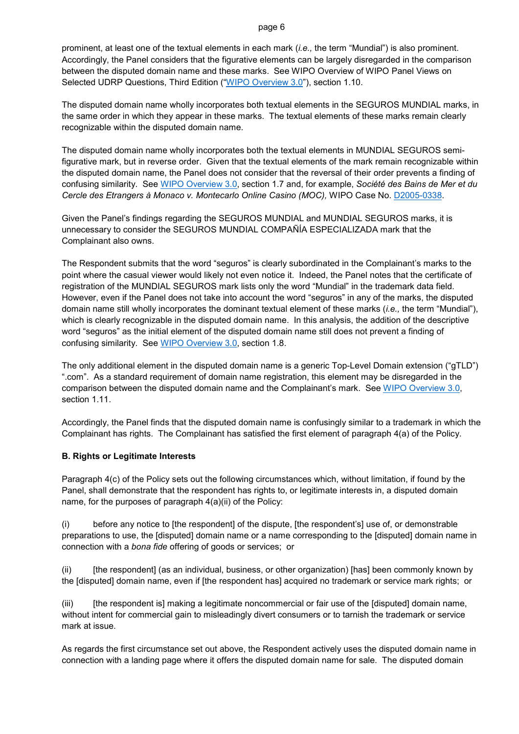prominent, at least one of the textual elements in each mark (*i.e.,* the term "Mundial") is also prominent. Accordingly, the Panel considers that the figurative elements can be largely disregarded in the comparison between the disputed domain name and these marks. See WIPO Overview of WIPO Panel Views on Selected UDRP Questions, Third Edition (["WIPO Overview 3.0"](https://www.wipo.int/amc/en/domains/search/overview3.0/)), section 1.10.

The disputed domain name wholly incorporates both textual elements in the SEGUROS MUNDIAL marks, in the same order in which they appear in these marks. The textual elements of these marks remain clearly recognizable within the disputed domain name.

The disputed domain name wholly incorporates both the textual elements in MUNDIAL SEGUROS semifigurative mark, but in reverse order. Given that the textual elements of the mark remain recognizable within the disputed domain name, the Panel does not consider that the reversal of their order prevents a finding of confusing similarity. See [WIPO Overview 3.0,](https://www.wipo.int/amc/en/domains/search/overview3.0/) section 1.7 and, for example, *Société des Bains de Mer et du Cercle des Etrangers à Monaco v. Montecarlo Online Casino (MOC),* WIPO Case No. [D2005-0338.](https://www.wipo.int/amc/en/domains/decisions/html/2005/d2005-0338.html)

Given the Panel's findings regarding the SEGUROS MUNDIAL and MUNDIAL SEGUROS marks, it is unnecessary to consider the SEGUROS MUNDIAL COMPAÑÍA ESPECIALIZADA mark that the Complainant also owns.

The Respondent submits that the word "seguros" is clearly subordinated in the Complainant's marks to the point where the casual viewer would likely not even notice it. Indeed, the Panel notes that the certificate of registration of the MUNDIAL SEGUROS mark lists only the word "Mundial" in the trademark data field. However, even if the Panel does not take into account the word "seguros" in any of the marks, the disputed domain name still wholly incorporates the dominant textual element of these marks (*i.e.,* the term "Mundial"), which is clearly recognizable in the disputed domain name. In this analysis, the addition of the descriptive word "seguros" as the initial element of the disputed domain name still does not prevent a finding of confusing similarity. See [WIPO Overview 3.0,](https://www.wipo.int/amc/en/domains/search/overview3.0/) section 1.8.

The only additional element in the disputed domain name is a generic Top-Level Domain extension ("gTLD") ".com". As a standard requirement of domain name registration, this element may be disregarded in the comparison between the disputed domain name and the Complainant's mark. See [WIPO Overview 3.0,](https://www.wipo.int/amc/en/domains/search/overview3.0/) section 1.11.

Accordingly, the Panel finds that the disputed domain name is confusingly similar to a trademark in which the Complainant has rights. The Complainant has satisfied the first element of paragraph 4(a) of the Policy.

# **B. Rights or Legitimate Interests**

Paragraph 4(c) of the Policy sets out the following circumstances which, without limitation, if found by the Panel, shall demonstrate that the respondent has rights to, or legitimate interests in, a disputed domain name, for the purposes of paragraph 4(a)(ii) of the Policy:

(i) before any notice to [the respondent] of the dispute, [the respondent's] use of, or demonstrable preparations to use, the [disputed] domain name or a name corresponding to the [disputed] domain name in connection with a *bona fide* offering of goods or services; or

(ii) [the respondent] (as an individual, business, or other organization) [has] been commonly known by the [disputed] domain name, even if [the respondent has] acquired no trademark or service mark rights; or

(iii) [the respondent is] making a legitimate noncommercial or fair use of the [disputed] domain name, without intent for commercial gain to misleadingly divert consumers or to tarnish the trademark or service mark at issue.

As regards the first circumstance set out above, the Respondent actively uses the disputed domain name in connection with a landing page where it offers the disputed domain name for sale. The disputed domain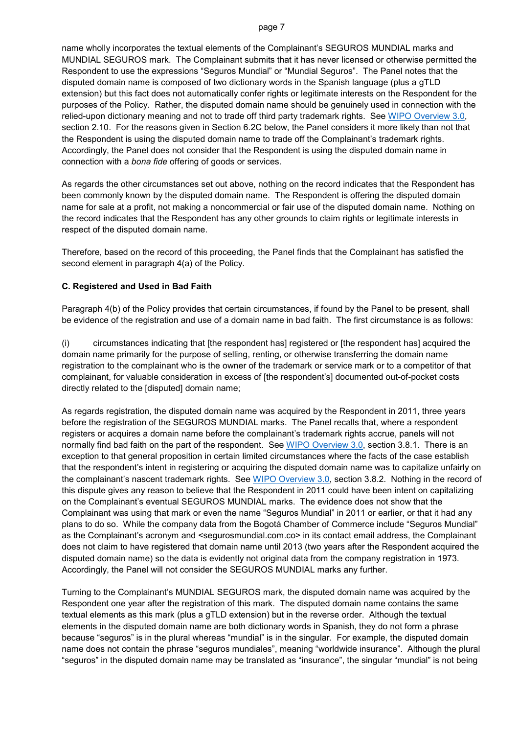name wholly incorporates the textual elements of the Complainant's SEGUROS MUNDIAL marks and MUNDIAL SEGUROS mark. The Complainant submits that it has never licensed or otherwise permitted the Respondent to use the expressions "Seguros Mundial" or "Mundial Seguros". The Panel notes that the disputed domain name is composed of two dictionary words in the Spanish language (plus a gTLD extension) but this fact does not automatically confer rights or legitimate interests on the Respondent for the purposes of the Policy. Rather, the disputed domain name should be genuinely used in connection with the relied-upon dictionary meaning and not to trade off third party trademark rights. See [WIPO Overview 3.0,](https://www.wipo.int/amc/en/domains/search/overview3.0/) section 2.10. For the reasons given in Section 6.2C below, the Panel considers it more likely than not that the Respondent is using the disputed domain name to trade off the Complainant's trademark rights. Accordingly, the Panel does not consider that the Respondent is using the disputed domain name in connection with a *bona fide* offering of goods or services.

As regards the other circumstances set out above, nothing on the record indicates that the Respondent has been commonly known by the disputed domain name. The Respondent is offering the disputed domain name for sale at a profit, not making a noncommercial or fair use of the disputed domain name. Nothing on the record indicates that the Respondent has any other grounds to claim rights or legitimate interests in respect of the disputed domain name.

Therefore, based on the record of this proceeding, the Panel finds that the Complainant has satisfied the second element in paragraph 4(a) of the Policy.

# **C. Registered and Used in Bad Faith**

Paragraph 4(b) of the Policy provides that certain circumstances, if found by the Panel to be present, shall be evidence of the registration and use of a domain name in bad faith. The first circumstance is as follows:

(i) circumstances indicating that [the respondent has] registered or [the respondent has] acquired the domain name primarily for the purpose of selling, renting, or otherwise transferring the domain name registration to the complainant who is the owner of the trademark or service mark or to a competitor of that complainant, for valuable consideration in excess of [the respondent's] documented out-of-pocket costs directly related to the [disputed] domain name;

As regards registration, the disputed domain name was acquired by the Respondent in 2011, three years before the registration of the SEGUROS MUNDIAL marks. The Panel recalls that, where a respondent registers or acquires a domain name before the complainant's trademark rights accrue, panels will not normally find bad faith on the part of the respondent. See [WIPO Overview 3.0,](https://www.wipo.int/amc/en/domains/search/overview3.0/) section 3.8.1. There is an exception to that general proposition in certain limited circumstances where the facts of the case establish that the respondent's intent in registering or acquiring the disputed domain name was to capitalize unfairly on the complainant's nascent trademark rights. See [WIPO Overview 3.0,](https://www.wipo.int/amc/en/domains/search/overview3.0/) section 3.8.2. Nothing in the record of this dispute gives any reason to believe that the Respondent in 2011 could have been intent on capitalizing on the Complainant's eventual SEGUROS MUNDIAL marks. The evidence does not show that the Complainant was using that mark or even the name "Seguros Mundial" in 2011 or earlier, or that it had any plans to do so. While the company data from the Bogotá Chamber of Commerce include "Seguros Mundial" as the Complainant's acronym and <segurosmundial.com.co> in its contact email address, the Complainant does not claim to have registered that domain name until 2013 (two years after the Respondent acquired the disputed domain name) so the data is evidently not original data from the company registration in 1973. Accordingly, the Panel will not consider the SEGUROS MUNDIAL marks any further.

Turning to the Complainant's MUNDIAL SEGUROS mark, the disputed domain name was acquired by the Respondent one year after the registration of this mark. The disputed domain name contains the same textual elements as this mark (plus a gTLD extension) but in the reverse order. Although the textual elements in the disputed domain name are both dictionary words in Spanish, they do not form a phrase because "seguros" is in the plural whereas "mundial" is in the singular. For example, the disputed domain name does not contain the phrase "seguros mundiales", meaning "worldwide insurance". Although the plural "seguros" in the disputed domain name may be translated as "insurance", the singular "mundial" is not being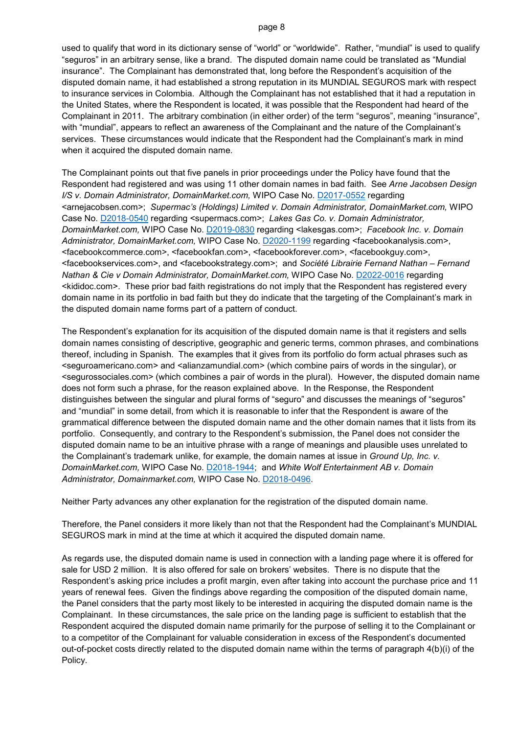used to qualify that word in its dictionary sense of "world" or "worldwide". Rather, "mundial" is used to qualify "seguros" in an arbitrary sense, like a brand. The disputed domain name could be translated as "Mundial insurance". The Complainant has demonstrated that, long before the Respondent's acquisition of the disputed domain name, it had established a strong reputation in its MUNDIAL SEGUROS mark with respect to insurance services in Colombia. Although the Complainant has not established that it had a reputation in the United States, where the Respondent is located, it was possible that the Respondent had heard of the Complainant in 2011. The arbitrary combination (in either order) of the term "seguros", meaning "insurance", with "mundial", appears to reflect an awareness of the Complainant and the nature of the Complainant's services. These circumstances would indicate that the Respondent had the Complainant's mark in mind when it acquired the disputed domain name.

The Complainant points out that five panels in prior proceedings under the Policy have found that the Respondent had registered and was using 11 other domain names in bad faith. See *Arne Jacobsen Design I/S v. Domain Administrator, DomainMarket.com,* WIPO Case No. [D2017-0552](https://www.wipo.int/amc/en/domains/search/text.jsp?case=D2017-0552) regarding <arnejacobsen.com>; *Supermac's (Holdings) Limited v. Domain Administrator, DomainMarket.com,* WIPO Case No. [D2018-0540](https://www.wipo.int/amc/en/domains/search/text.jsp?case=D2018-0540) regarding <supermacs.com>; *Lakes Gas Co. v. Domain Administrator, DomainMarket.com,* WIPO Case No. [D2019-0830](https://www.wipo.int/amc/en/domains/search/text.jsp?case=D2019-0830) regarding <lakesgas.com>; *Facebook Inc. v. Domain Administrator, DomainMarket.com,* WIPO Case No. [D2020-1199](https://www.wipo.int/amc/en/domains/search/text.jsp?case=D2020-1199) regarding <facebookanalysis.com>, <facebookcommerce.com>, <facebookfan.com>, <facebookforever.com>, <facebookguy.com>, <facebookservices.com>, and <facebookstrategy.com>; and *Société Librairie Fernand Nathan – Fernand Nathan & Cie v Domain Administrator, DomainMarket.com,* WIPO Case No. [D2022-0016](https://www.wipo.int/amc/en/domains/search/text.jsp?case=D2022-0016) regarding <kididoc.com>. These prior bad faith registrations do not imply that the Respondent has registered every domain name in its portfolio in bad faith but they do indicate that the targeting of the Complainant's mark in the disputed domain name forms part of a pattern of conduct.

The Respondent's explanation for its acquisition of the disputed domain name is that it registers and sells domain names consisting of descriptive, geographic and generic terms, common phrases, and combinations thereof, including in Spanish. The examples that it gives from its portfolio do form actual phrases such as <seguroamericano.com> and <alianzamundial.com> (which combine pairs of words in the singular), or <segurossociales.com> (which combines a pair of words in the plural). However, the disputed domain name does not form such a phrase, for the reason explained above. In the Response, the Respondent distinguishes between the singular and plural forms of "seguro" and discusses the meanings of "seguros" and "mundial" in some detail, from which it is reasonable to infer that the Respondent is aware of the grammatical difference between the disputed domain name and the other domain names that it lists from its portfolio. Consequently, and contrary to the Respondent's submission, the Panel does not consider the disputed domain name to be an intuitive phrase with a range of meanings and plausible uses unrelated to the Complainant's trademark unlike, for example, the domain names at issue in *Ground Up, Inc. v. DomainMarket.com,* WIPO Case No. [D2018-1944;](https://www.wipo.int/amc/en/domains/search/text.jsp?case=D2018-1944) and *White Wolf Entertainment AB v. Domain Administrator, Domainmarket.com,* WIPO Case No. [D2018-0496.](https://www.wipo.int/amc/en/domains/search/text.jsp?case=D2018-0496)

Neither Party advances any other explanation for the registration of the disputed domain name.

Therefore, the Panel considers it more likely than not that the Respondent had the Complainant's MUNDIAL SEGUROS mark in mind at the time at which it acquired the disputed domain name.

As regards use, the disputed domain name is used in connection with a landing page where it is offered for sale for USD 2 million. It is also offered for sale on brokers' websites. There is no dispute that the Respondent's asking price includes a profit margin, even after taking into account the purchase price and 11 years of renewal fees. Given the findings above regarding the composition of the disputed domain name, the Panel considers that the party most likely to be interested in acquiring the disputed domain name is the Complainant. In these circumstances, the sale price on the landing page is sufficient to establish that the Respondent acquired the disputed domain name primarily for the purpose of selling it to the Complainant or to a competitor of the Complainant for valuable consideration in excess of the Respondent's documented out-of-pocket costs directly related to the disputed domain name within the terms of paragraph 4(b)(i) of the Policy.